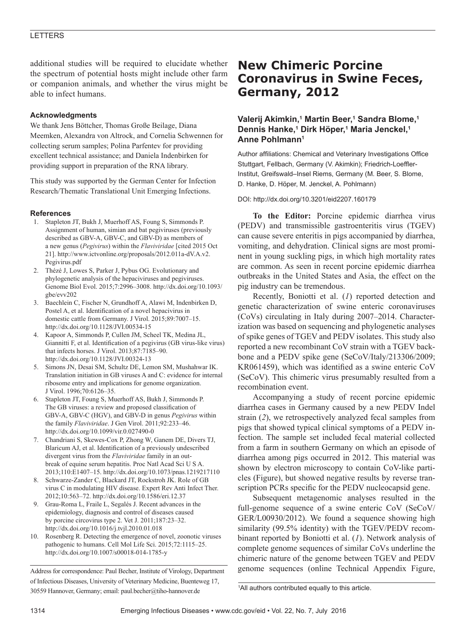## LETTERS

additional studies will be required to elucidate whether the spectrum of potential hosts might include other farm or companion animals, and whether the virus might be able to infect humans.

### **Acknowledgments**

We thank Jens Böttcher, Thomas Große Beilage, Diana Meemken, Alexandra von Altrock, and Cornelia Schwennen for collecting serum samples; Polina Parfentev for providing excellent technical assistance; and Daniela Indenbirken for providing support in preparation of the RNA library.

This study was supported by the German Center for Infection Research/Thematic Translational Unit Emerging Infections.

#### **References**

- 1. Stapleton JT, Bukh J, Muerhoff AS, Foung S, Simmonds P. Assignment of human, simian and bat pegiviruses (previously described as GBV-A, GBV-C, and GBV-D) as members of a new genus (*Pegivirus*) within the *Flaviviridae* [cited 2015 Oct 21]. http://www.ictvonline.org/proposals/2012.011a-dV.A.v2. Pegivirus.pdf
- 2. Thézé J, Lowes S, Parker J, Pybus OG. Evolutionary and phylogenetic analysis of the hepaciviruses and pegiviruses. Genome Biol Evol. 2015;7:2996–3008. http://dx.doi.org/10.1093/ gbe/evv202
- 3. Baechlein C, Fischer N, Grundhoff A, Alawi M, Indenbirken D, Postel A, et al. Identification of a novel hepacivirus in domestic cattle from Germany. J Virol. 2015;89:7007–15. http://dx.doi.org/10.1128/JVI.00534-15
- 4. Kapoor A, Simmonds P, Cullen JM, Scheel TK, Medina JL, Giannitti F, et al. Identification of a pegivirus (GB virus-like virus) that infects horses. J Virol. 2013;87:7185–90. http://dx.doi.org/10.1128/JVI.00324-13
- 5. Simons JN, Desai SM, Schultz DE, Lemon SM, Mushahwar IK. Translation initiation in GB viruses A and C: evidence for internal ribosome entry and implications for genome organization. J Virol. 1996;70:6126–35.
- 6. Stapleton JT, Foung S, Muerhoff AS, Bukh J, Simmonds P. The GB viruses: a review and proposed classification of GBV-A, GBV-C (HGV), and GBV-D in genus *Pegivirus* within the family *Flaviviridae*. J Gen Virol. 2011;92:233–46. http://dx.doi.org/10.1099/vir.0.027490-0
- 7. Chandriani S, Skewes-Cox P, Zhong W, Ganem DE, Divers TJ, Blaricum AJ, et al. Identification of a previously undescribed divergent virus from the *Flaviviridae* family in an outbreak of equine serum hepatitis. Proc Natl Acad Sci U S A. 2013;110:E1407–15. http://dx.doi.org/10.1073/pnas.1219217110
- 8. Schwarze-Zander C, Blackard JT, Rockstroh JK. Role of GB virus C in modulating HIV disease. Expert Rev Anti Infect Ther. 2012;10:563–72. http://dx.doi.org/10.1586/eri.12.37
- 9. Grau-Roma L, Fraile L, Segalés J. Recent advances in the epidemiology, diagnosis and control of diseases caused by porcine circovirus type 2. Vet J. 2011;187:23–32. http://dx.doi.org/10.1016/j.tvjl.2010.01.018
- 10. Rosenberg R. Detecting the emergence of novel, zoonotic viruses pathogenic to humans. Cell Mol Life Sci. 2015;72:1115–25. http://dx.doi.org/10.1007/s00018-014-1785-y

Address for correspondence: Paul Becher, Institute of Virology, Department of Infectious Diseases, University of Veterinary Medicine, Buenteweg 17, 30559 Hannover, Germany; email: paul.becher@tiho-hannover.de

# **New Chimeric Porcine Coronavirus in Swine Feces, Germany, 2012**

## **Valerij Akimkin,1 Martin Beer,1 Sandra Blome,1 Dennis Hanke,1 Dirk Höper,1 Maria Jenckel,1 Anne Pohlmann1**

Author affiliations: Chemical and Veterinary Investigations Office Stuttgart, Fellbach, Germany (V. Akimkin); Friedrich-Loeffler-Institut, Greifswald–Insel Riems, Germany (M. Beer, S. Blome, D. Hanke, D. Höper, M. Jenckel, A. Pohlmann)

#### DOI: http://dx.doi.org/10.3201/eid2207.160179

**To the Editor:** Porcine epidemic diarrhea virus (PEDV) and transmissible gastroenteritis virus (TGEV) can cause severe enteritis in pigs accompanied by diarrhea, vomiting, and dehydration. Clinical signs are most prominent in young suckling pigs, in which high mortality rates are common. As seen in recent porcine epidemic diarrhea outbreaks in the United States and Asia, the effect on the pig industry can be tremendous.

Recently, Boniotti et al. (*1*) reported detection and genetic characterization of swine enteric coronaviruses (CoVs) circulating in Italy during 2007–2014. Characterization was based on sequencing and phylogenetic analyses of spike genes of TGEV and PEDV isolates. This study also reported a new recombinant CoV strain with a TGEV backbone and a PEDV spike gene (SeCoV/Italy/213306/2009; KR061459), which was identified as a swine enteric CoV (SeCoV). This chimeric virus presumably resulted from a recombination event.

Accompanying a study of recent porcine epidemic diarrhea cases in Germany caused by a new PEDV Indel strain (*2*), we retrospectively analyzed fecal samples from pigs that showed typical clinical symptoms of a PEDV infection. The sample set included fecal material collected from a farm in southern Germany on which an episode of diarrhea among pigs occurred in 2012. This material was shown by electron microscopy to contain CoV-like particles (Figure), but showed negative results by reverse transcription PCRs specific for the PEDV nucleocapsid gene.

Subsequent metagenomic analyses resulted in the full-genome sequence of a swine enteric CoV (SeCoV/ GER/L00930/2012). We found a sequence showing high similarity (99.5% identity) with the TGEV/PEDV recombinant reported by Boniotti et al. (*1*). Network analysis of complete genome sequences of similar CoVs underline the chimeric nature of the genome between TGEV and PEDV genome sequences (online Technical Appendix Figure,

<sup>1</sup> All authors contributed equally to this article.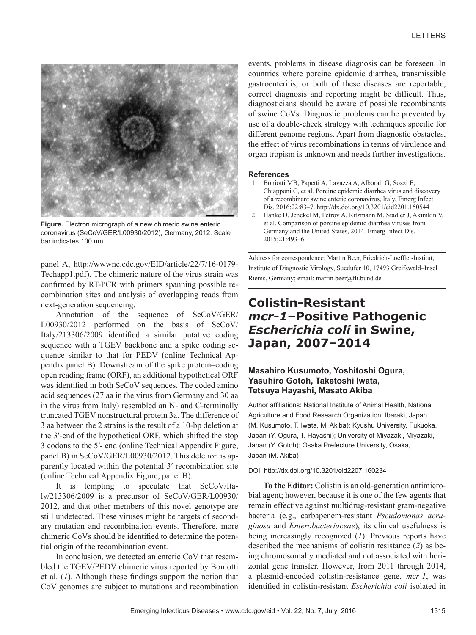

**Figure.** Electron micrograph of a new chimeric swine enteric coronavirus (SeCoV/GER/L00930/2012), Germany, 2012. Scale bar indicates 100 nm.

panel A, http://wwwnc.cdc.gov/EID/article/22/7/16-0179- Techapp1.pdf). The chimeric nature of the virus strain was confirmed by RT-PCR with primers spanning possible recombination sites and analysis of overlapping reads from next-generation sequencing.

Annotation of the sequence of SeCoV/GER/ L00930/2012 performed on the basis of SeCoV/ Italy/213306/2009 identified a similar putative coding sequence with a TGEV backbone and a spike coding sequence similar to that for PEDV (online Technical Appendix panel B). Downstream of the spike protein–coding open reading frame (ORF), an additional hypothetical ORF was identified in both SeCoV sequences. The coded amino acid sequences (27 aa in the virus from Germany and 30 aa in the virus from Italy) resembled an N- and C-terminally truncated TGEV nonstructural protein 3a. The difference of 3 aa between the 2 strains is the result of a 10-bp deletion at the 3′-end of the hypothetical ORF, which shifted the stop 3 codons to the 5′- end (online Technical Appendix Figure, panel B) in SeCoV/GER/L00930/2012. This deletion is apparently located within the potential 3′ recombination site (online Technical Appendix Figure, panel B).

It is tempting to speculate that SeCoV/Italy/213306/2009 is a precursor of SeCoV/GER/L00930/ 2012, and that other members of this novel genotype are still undetected. These viruses might be targets of secondary mutation and recombination events. Therefore, more chimeric CoVs should be identified to determine the potential origin of the recombination event.

In conclusion, we detected an enteric CoV that resembled the TGEV/PEDV chimeric virus reported by Boniotti et al. (*1*). Although these findings support the notion that CoV genomes are subject to mutations and recombination

events, problems in disease diagnosis can be foreseen. In countries where porcine epidemic diarrhea, transmissible gastroenteritis, or both of these diseases are reportable, correct diagnosis and reporting might be difficult. Thus, diagnosticians should be aware of possible recombinants of swine CoVs. Diagnostic problems can be prevented by use of a double-check strategy with techniques specific for different genome regions. Apart from diagnostic obstacles, the effect of virus recombinations in terms of virulence and organ tropism is unknown and needs further investigations.

#### **References**

- 1. Boniotti MB, Papetti A, Lavazza A, Alborali G, Sozzi E, Chiapponi C, et al. Porcine epidemic diarrhea virus and discovery of a recombinant swine enteric coronavirus, Italy. Emerg Infect Dis. 2016;22:83–7. http://dx.doi.org/10.3201/eid2201.150544
- 2. Hanke D, Jenckel M, Petrov A, Ritzmann M, Stadler J, Akimkin V, et al. Comparison of porcine epidemic diarrhea viruses from Germany and the United States, 2014. Emerg Infect Dis. 2015;21:493–6.

Address for correspondence: Martin Beer, Friedrich-Loeffler-Institut, Institute of Diagnostic Virology, Suedufer 10, 17493 Greifswald–Insel Riems, Germany; email: martin.beer@fli.bund.de

# **Colistin-Resistant**  *mcr-1***–Positive Pathogenic**  *Escherichia coli* **in Swine, Japan, 2007–2014**

## **Masahiro Kusumoto, Yoshitoshi Ogura, Yasuhiro Gotoh, Taketoshi Iwata, Tetsuya Hayashi, Masato Akiba**

Author affiliations: National Institute of Animal Health, National Agriculture and Food Research Organization, Ibaraki, Japan (M. Kusumoto, T. Iwata, M. Akiba); Kyushu University, Fukuoka, Japan (Y. Ogura, T. Hayashi); University of Miyazaki, Miyazaki, Japan (Y. Gotoh); Osaka Prefecture University, Osaka, Japan (M. Akiba)

#### DOI: http://dx.doi.org/10.3201/eid2207.160234

**To the Editor:** Colistin is an old-generation antimicrobial agent; however, because it is one of the few agents that remain effective against multidrug-resistant gram-negative bacteria (e.g., carbapenem-resistant *Pseudomonas aeruginosa* and *Enterobacteriaceae*), its clinical usefulness is being increasingly recognized (*1*). Previous reports have described the mechanisms of colistin resistance (*2*) as being chromosomally mediated and not associated with horizontal gene transfer. However, from 2011 through 2014, a plasmid-encoded colistin-resistance gene, *mcr-1*, was identified in colistin-resistant *Escherichia coli* isolated in